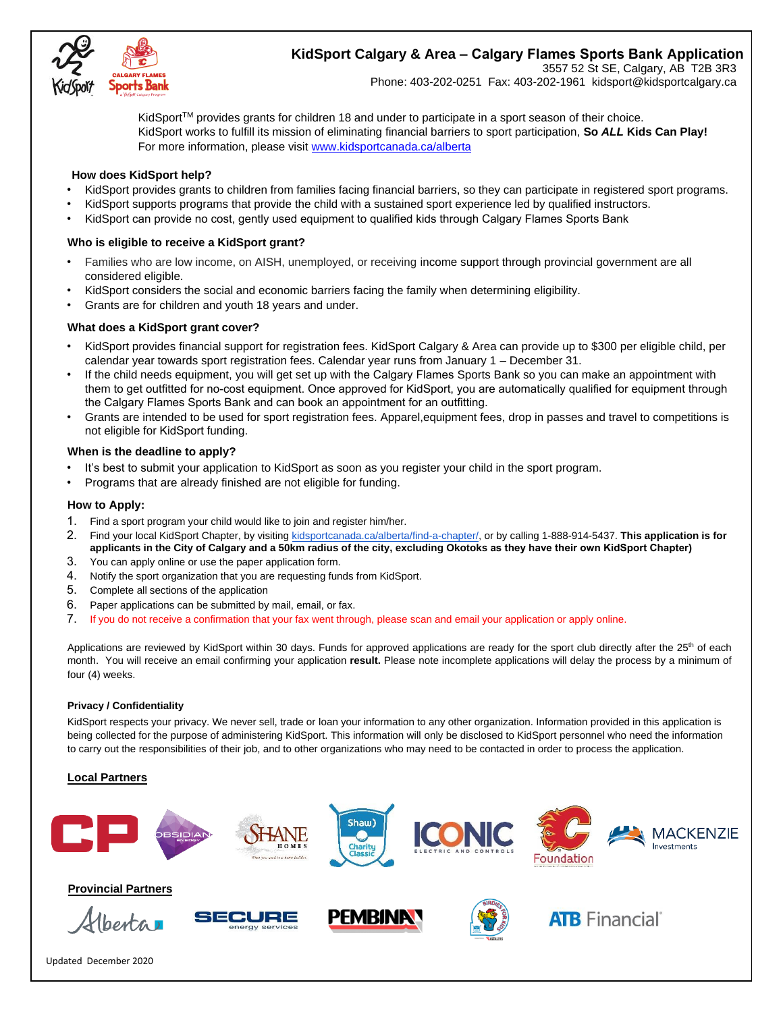

# **KidSport Calgary & Area – Calgary Flames Sports Bank Application**

3557 52 St SE, Calgary, AB T2B 3R3 Phone: 403-202-0251 Fax: 403-202-1961 kidsport@kidsportcalgary.ca

KidSport<sup>TM</sup> provides grants for children 18 and under to participate in a sport season of their choice. KidSport works to fulfill its mission of eliminating financial barriers to sport participation, **So** *ALL* **Kids Can Play!**  For more information, please visi[t www.kidsportcanada.ca/alberta](file:///G:/2017%20applications/www.kidsportcanada.ca/alberta)

#### **How does KidSport help?**

- KidSport provides grants to children from families facing financial barriers, so they can participate in registered sport programs.
- KidSport supports programs that provide the child with a sustained sport experience led by qualified instructors.
- KidSport can provide no cost, gently used equipment to qualified kids through Calgary Flames Sports Bank

### **Who is eligible to receive a KidSport grant?**

- Families who are low income, on AISH, unemployed, or receiving income support through provincial government are all considered eligible.
- KidSport considers the social and economic barriers facing the family when determining eligibility.
- Grants are for children and youth 18 years and under.

### **What does a KidSport grant cover?**

- KidSport provides financial support for registration fees. KidSport Calgary & Area can provide up to \$300 per eligible child, per calendar year towards sport registration fees. Calendar year runs from January 1 – December 31.
- If the child needs equipment, you will get set up with the Calgary Flames Sports Bank so you can make an appointment with them to get outfitted for no-cost equipment. Once approved for KidSport, you are automatically qualified for equipment through the Calgary Flames Sports Bank and can book an appointment for an outfitting.
- Grants are intended to be used for sport registration fees. Apparel,equipment fees, drop in passes and travel to competitions is not eligible for KidSport funding.

#### **When is the deadline to apply?**

- It's best to submit your application to KidSport as soon as you register your child in the sport program.
- Programs that are already finished are not eligible for funding.

#### **How to Apply:**

- 1. Find a sport program your child would like to join and register him/her.
- 2. Find your local KidSport Chapter, by visiting [kidsportcanada.ca/alberta/find-a-chapter/,](http://kidsportcanada.ca/alberta/find-a-chapter/) or by calling [1-888-914-5437](tel:(888)%20914-5437). **This application is for applicants in the City of Calgary and a 50km radius of the city, excluding Okotoks as they have their own KidSport Chapter)**
- 3. You can apply online or use the paper application form.
- 4. Notify the sport organization that you are requesting funds from KidSport.
- 5. Complete all sections of the application
- 6. Paper applications can be submitted by mail, email, or fax.
- 7. If you do not receive a confirmation that your fax went through, please scan and email your application or apply online.

Applications are reviewed by KidSport within 30 days. Funds for approved applications are ready for the sport club directly after the 25<sup>th</sup> of each month. You will receive an email confirming your application **result.** Please note incomplete applications will delay the process by a minimum of four (4) weeks.

#### **Privacy / Confidentiality**

KidSport respects your privacy. We never sell, trade or loan your information to any other organization. Information provided in this application is being collected for the purpose of administering KidSport. This information will only be disclosed to KidSport personnel who need the information to carry out the responsibilities of their job, and to other organizations who may need to be contacted in order to process the application.

#### **Local Partners**



## **Provincial Partners**